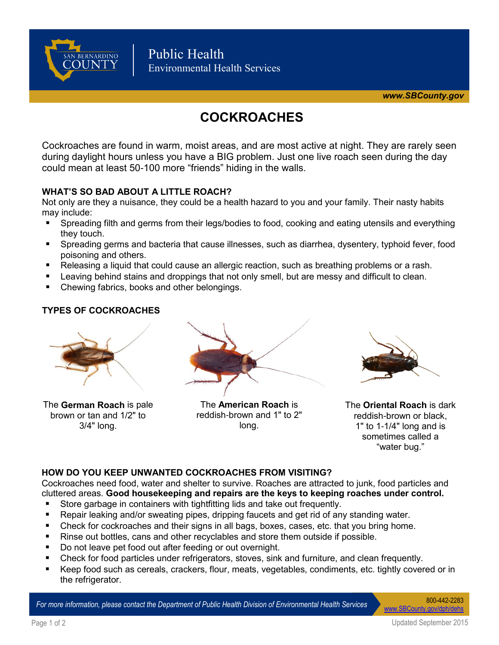

# **COCKROACHES**

Cockroaches are found in warm, moist areas, and are most active at night. They are rarely seen during daylight hours unless you have a BIG problem. Just one live roach seen during the day could mean at least 50-100 more "friends" hiding in the walls.

# **WHAT'S SO BAD ABOUT A LITTLE ROACH?**

Not only are they a nuisance, they could be a health hazard to you and your family. Their nasty habits may include:

- Spreading filth and germs from their legs/bodies to food, cooking and eating utensils and everything they touch.
- Spreading germs and bacteria that cause illnesses, such as diarrhea, dysentery, typhoid fever, food poisoning and others.
- Releasing a liquid that could cause an allergic reaction, such as breathing problems or a rash.
- Leaving behind stains and droppings that not only smell, but are messy and difficult to clean.
- Chewing fabrics, books and other belongings.

# **TYPES OF COCKROACHES**



The **German Roach** is pale brown or tan and 1/2" to 3/4" long.



The **American Roach** is reddish-brown and 1" to 2" long.



The **Oriental Roach** is dark reddish-brown or black, 1" to 1-1/4" long and is sometimes called a "water bug."

#### **HOW DO YOU KEEP UNWANTED COCKROACHES FROM VISITING?**

Cockroaches need food, water and shelter to survive. Roaches are attracted to junk, food particles and cluttered areas. **Good housekeeping and repairs are the keys to keeping roaches under control.**

- Store garbage in containers with tightfitting lids and take out frequently.
- **Repair leaking and/or sweating pipes, dripping faucets and get rid of any standing water.**
- Check for cockroaches and their signs in all bags, boxes, cases, etc. that you bring home.
- Rinse out bottles, cans and other recyclables and store them outside if possible.
- Do not leave pet food out after feeding or out overnight.
- Check for food particles under refrigerators, stoves, sink and furniture, and clean frequently.
- Keep food such as cereals, crackers, flour, meats, vegetables, condiments, etc. tightly covered or in the refrigerator.

*For more information, please contact the Department of Public Health Division of Environmental Health Services* 800-442-2283

[www.SBCounty.gov/dph/dehs](http://www.SBCounty.gov/dph/dehs)